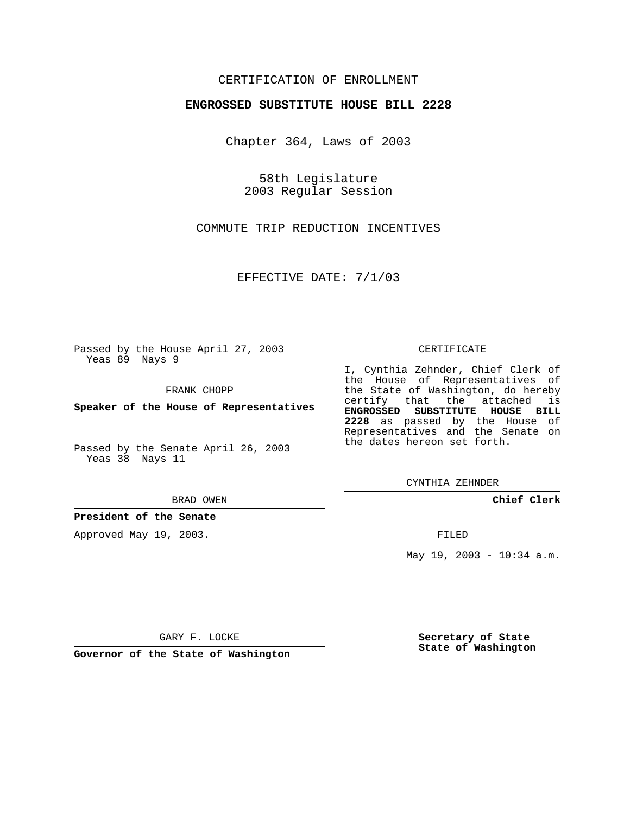## CERTIFICATION OF ENROLLMENT

### **ENGROSSED SUBSTITUTE HOUSE BILL 2228**

Chapter 364, Laws of 2003

58th Legislature 2003 Regular Session

COMMUTE TRIP REDUCTION INCENTIVES

EFFECTIVE DATE: 7/1/03

Passed by the House April 27, 2003 Yeas 89 Nays 9

FRANK CHOPP

**Speaker of the House of Representatives**

Passed by the Senate April 26, 2003 Yeas 38 Nays 11

#### BRAD OWEN

**President of the Senate**

Approved May 19, 2003.

#### CERTIFICATE

I, Cynthia Zehnder, Chief Clerk of the House of Representatives of the State of Washington, do hereby certify that the attached is **ENGROSSED SUBSTITUTE HOUSE BILL 2228** as passed by the House of Representatives and the Senate on the dates hereon set forth.

CYNTHIA ZEHNDER

**Chief Clerk**

FILED

May 19, 2003 - 10:34 a.m.

GARY F. LOCKE

**Governor of the State of Washington**

**Secretary of State State of Washington**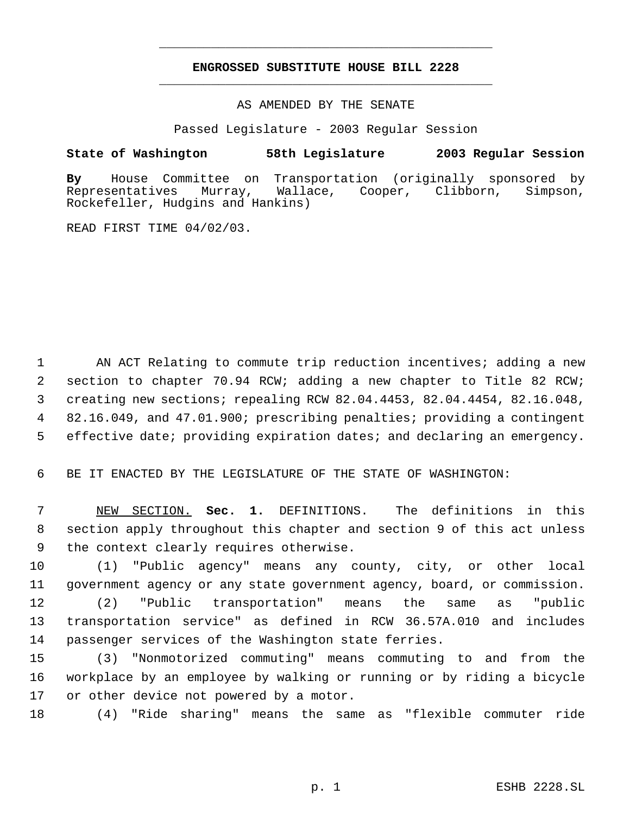# **ENGROSSED SUBSTITUTE HOUSE BILL 2228** \_\_\_\_\_\_\_\_\_\_\_\_\_\_\_\_\_\_\_\_\_\_\_\_\_\_\_\_\_\_\_\_\_\_\_\_\_\_\_\_\_\_\_\_\_

\_\_\_\_\_\_\_\_\_\_\_\_\_\_\_\_\_\_\_\_\_\_\_\_\_\_\_\_\_\_\_\_\_\_\_\_\_\_\_\_\_\_\_\_\_

AS AMENDED BY THE SENATE

Passed Legislature - 2003 Regular Session

### **State of Washington 58th Legislature 2003 Regular Session**

**By** House Committee on Transportation (originally sponsored by Murray, Wallace, Cooper, Clibborn, Simpson, Rockefeller, Hudgins and Hankins)

READ FIRST TIME 04/02/03.

1 AN ACT Relating to commute trip reduction incentives; adding a new section to chapter 70.94 RCW; adding a new chapter to Title 82 RCW; creating new sections; repealing RCW 82.04.4453, 82.04.4454, 82.16.048, 82.16.049, and 47.01.900; prescribing penalties; providing a contingent effective date; providing expiration dates; and declaring an emergency.

6 BE IT ENACTED BY THE LEGISLATURE OF THE STATE OF WASHINGTON:

 7 NEW SECTION. **Sec. 1.** DEFINITIONS. The definitions in this 8 section apply throughout this chapter and section 9 of this act unless 9 the context clearly requires otherwise.

10 (1) "Public agency" means any county, city, or other local 11 government agency or any state government agency, board, or commission. 12 (2) "Public transportation" means the same as "public

13 transportation service" as defined in RCW 36.57A.010 and includes 14 passenger services of the Washington state ferries.

15 (3) "Nonmotorized commuting" means commuting to and from the 16 workplace by an employee by walking or running or by riding a bicycle 17 or other device not powered by a motor.

18 (4) "Ride sharing" means the same as "flexible commuter ride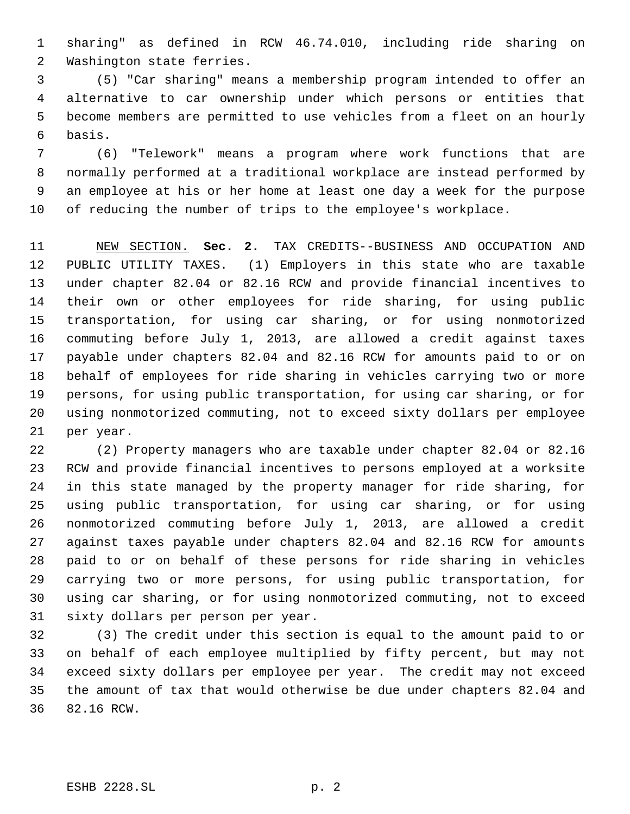sharing" as defined in RCW 46.74.010, including ride sharing on Washington state ferries.

 (5) "Car sharing" means a membership program intended to offer an alternative to car ownership under which persons or entities that become members are permitted to use vehicles from a fleet on an hourly basis.

 (6) "Telework" means a program where work functions that are normally performed at a traditional workplace are instead performed by an employee at his or her home at least one day a week for the purpose of reducing the number of trips to the employee's workplace.

 NEW SECTION. **Sec. 2.** TAX CREDITS--BUSINESS AND OCCUPATION AND PUBLIC UTILITY TAXES. (1) Employers in this state who are taxable under chapter 82.04 or 82.16 RCW and provide financial incentives to their own or other employees for ride sharing, for using public transportation, for using car sharing, or for using nonmotorized commuting before July 1, 2013, are allowed a credit against taxes payable under chapters 82.04 and 82.16 RCW for amounts paid to or on behalf of employees for ride sharing in vehicles carrying two or more persons, for using public transportation, for using car sharing, or for using nonmotorized commuting, not to exceed sixty dollars per employee per year.

 (2) Property managers who are taxable under chapter 82.04 or 82.16 RCW and provide financial incentives to persons employed at a worksite in this state managed by the property manager for ride sharing, for using public transportation, for using car sharing, or for using nonmotorized commuting before July 1, 2013, are allowed a credit against taxes payable under chapters 82.04 and 82.16 RCW for amounts paid to or on behalf of these persons for ride sharing in vehicles carrying two or more persons, for using public transportation, for using car sharing, or for using nonmotorized commuting, not to exceed sixty dollars per person per year.

 (3) The credit under this section is equal to the amount paid to or on behalf of each employee multiplied by fifty percent, but may not exceed sixty dollars per employee per year. The credit may not exceed the amount of tax that would otherwise be due under chapters 82.04 and 82.16 RCW.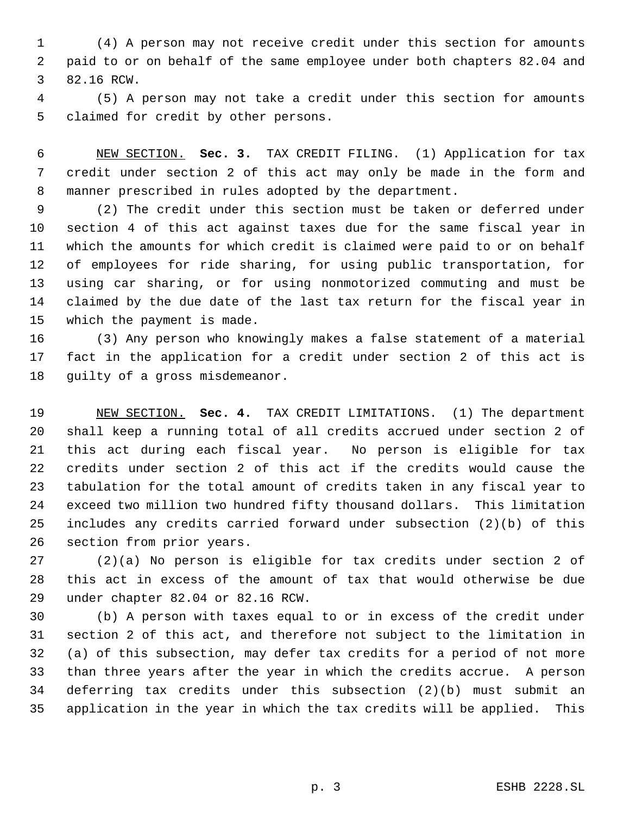(4) A person may not receive credit under this section for amounts paid to or on behalf of the same employee under both chapters 82.04 and 82.16 RCW.

 (5) A person may not take a credit under this section for amounts claimed for credit by other persons.

 NEW SECTION. **Sec. 3.** TAX CREDIT FILING. (1) Application for tax credit under section 2 of this act may only be made in the form and manner prescribed in rules adopted by the department.

 (2) The credit under this section must be taken or deferred under section 4 of this act against taxes due for the same fiscal year in which the amounts for which credit is claimed were paid to or on behalf of employees for ride sharing, for using public transportation, for using car sharing, or for using nonmotorized commuting and must be claimed by the due date of the last tax return for the fiscal year in which the payment is made.

 (3) Any person who knowingly makes a false statement of a material fact in the application for a credit under section 2 of this act is guilty of a gross misdemeanor.

 NEW SECTION. **Sec. 4.** TAX CREDIT LIMITATIONS. (1) The department shall keep a running total of all credits accrued under section 2 of this act during each fiscal year. No person is eligible for tax credits under section 2 of this act if the credits would cause the tabulation for the total amount of credits taken in any fiscal year to exceed two million two hundred fifty thousand dollars. This limitation includes any credits carried forward under subsection (2)(b) of this section from prior years.

 (2)(a) No person is eligible for tax credits under section 2 of this act in excess of the amount of tax that would otherwise be due under chapter 82.04 or 82.16 RCW.

 (b) A person with taxes equal to or in excess of the credit under section 2 of this act, and therefore not subject to the limitation in (a) of this subsection, may defer tax credits for a period of not more than three years after the year in which the credits accrue. A person deferring tax credits under this subsection (2)(b) must submit an application in the year in which the tax credits will be applied. This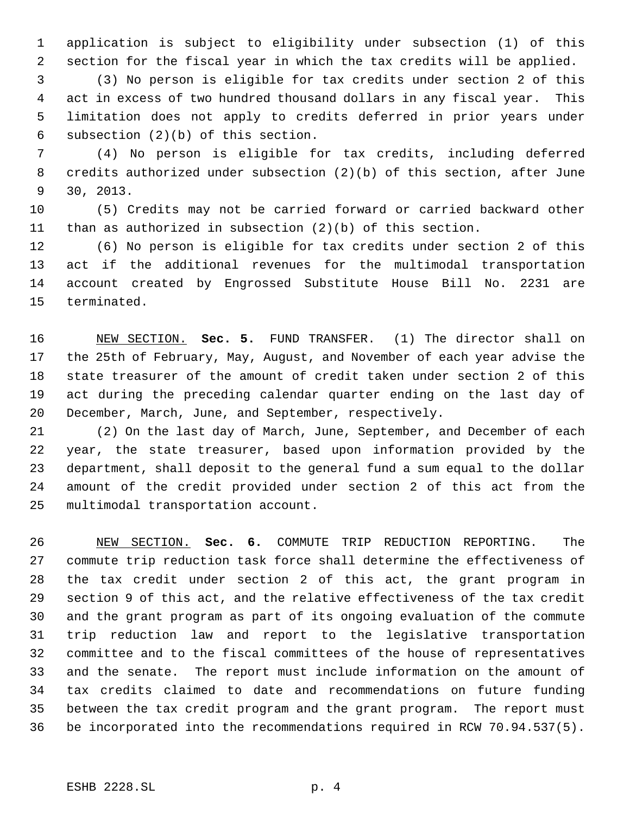application is subject to eligibility under subsection (1) of this section for the fiscal year in which the tax credits will be applied.

 (3) No person is eligible for tax credits under section 2 of this act in excess of two hundred thousand dollars in any fiscal year. This limitation does not apply to credits deferred in prior years under subsection (2)(b) of this section.

 (4) No person is eligible for tax credits, including deferred credits authorized under subsection (2)(b) of this section, after June 30, 2013.

 (5) Credits may not be carried forward or carried backward other than as authorized in subsection (2)(b) of this section.

 (6) No person is eligible for tax credits under section 2 of this act if the additional revenues for the multimodal transportation account created by Engrossed Substitute House Bill No. 2231 are terminated.

 NEW SECTION. **Sec. 5.** FUND TRANSFER. (1) The director shall on the 25th of February, May, August, and November of each year advise the state treasurer of the amount of credit taken under section 2 of this act during the preceding calendar quarter ending on the last day of December, March, June, and September, respectively.

 (2) On the last day of March, June, September, and December of each year, the state treasurer, based upon information provided by the department, shall deposit to the general fund a sum equal to the dollar amount of the credit provided under section 2 of this act from the multimodal transportation account.

 NEW SECTION. **Sec. 6.** COMMUTE TRIP REDUCTION REPORTING. The commute trip reduction task force shall determine the effectiveness of the tax credit under section 2 of this act, the grant program in section 9 of this act, and the relative effectiveness of the tax credit and the grant program as part of its ongoing evaluation of the commute trip reduction law and report to the legislative transportation committee and to the fiscal committees of the house of representatives and the senate. The report must include information on the amount of tax credits claimed to date and recommendations on future funding between the tax credit program and the grant program. The report must be incorporated into the recommendations required in RCW 70.94.537(5).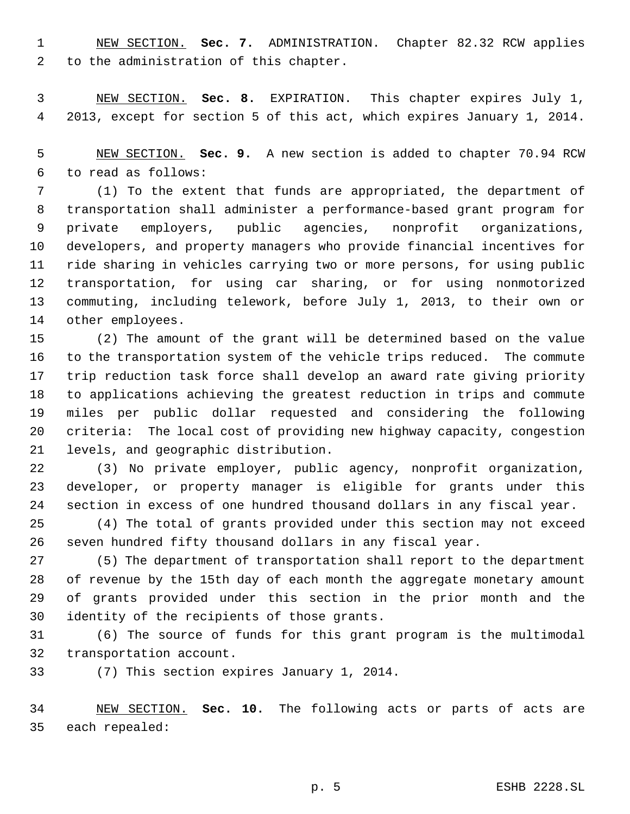NEW SECTION. **Sec. 7.** ADMINISTRATION. Chapter 82.32 RCW applies to the administration of this chapter.

 NEW SECTION. **Sec. 8.** EXPIRATION. This chapter expires July 1, 2013, except for section 5 of this act, which expires January 1, 2014.

 NEW SECTION. **Sec. 9.** A new section is added to chapter 70.94 RCW to read as follows:

 (1) To the extent that funds are appropriated, the department of transportation shall administer a performance-based grant program for private employers, public agencies, nonprofit organizations, developers, and property managers who provide financial incentives for ride sharing in vehicles carrying two or more persons, for using public transportation, for using car sharing, or for using nonmotorized commuting, including telework, before July 1, 2013, to their own or other employees.

 (2) The amount of the grant will be determined based on the value to the transportation system of the vehicle trips reduced. The commute trip reduction task force shall develop an award rate giving priority to applications achieving the greatest reduction in trips and commute miles per public dollar requested and considering the following criteria: The local cost of providing new highway capacity, congestion levels, and geographic distribution.

 (3) No private employer, public agency, nonprofit organization, developer, or property manager is eligible for grants under this section in excess of one hundred thousand dollars in any fiscal year.

 (4) The total of grants provided under this section may not exceed seven hundred fifty thousand dollars in any fiscal year.

 (5) The department of transportation shall report to the department of revenue by the 15th day of each month the aggregate monetary amount of grants provided under this section in the prior month and the identity of the recipients of those grants.

 (6) The source of funds for this grant program is the multimodal transportation account.

(7) This section expires January 1, 2014.

 NEW SECTION. **Sec. 10.** The following acts or parts of acts are each repealed: